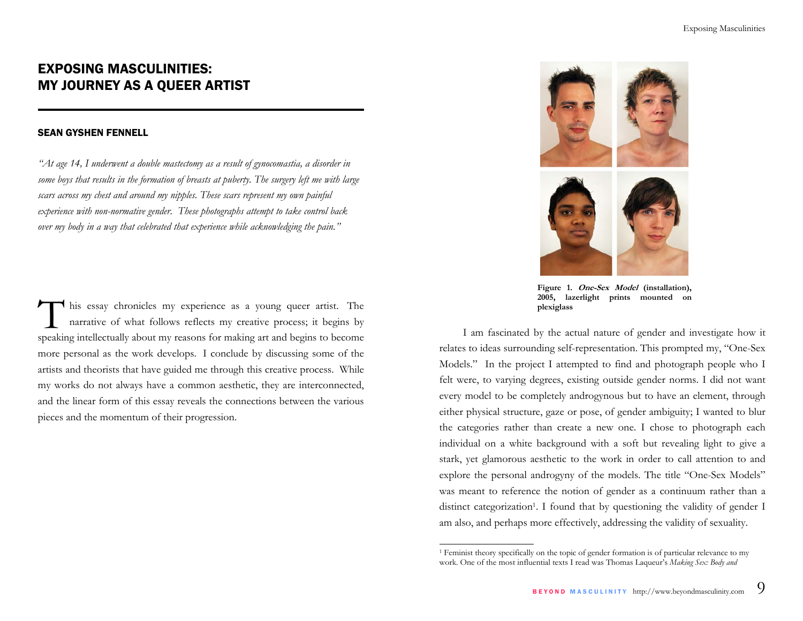# EXPOSING MASCULINITIES: MY JOURNEY AS A QUEER ARTIST

### SEAN GYSHEN FENNELL

*"At age 14, I underwent a double mastectomy as a result of gynocomastia, a disorder in some boys that results in the formation of breasts at puberty. The surgery left me with large scars across my chest and around my nipples. These scars represent my own painful experience with non-normative gender. These photographs attempt to take control back over my body in a way that celebrated that experience while acknowledging the pain."* 

his essay chronicles my experience as a young queer artist. The narrative of what follows reflects my creative process; it begins by speaking intellectually about my reasons for making art and begins to become more personal as the work develops. I conclude by discussing some of the artists and theorists that have guided me through this creative process. While my works do not always have a common aesthetic, they are interconnected, and the linear form of this essay reveals the connections between the various pieces and the momentum of their progression.



Figure 1. One-Sex Model (installation), **2005, lazerlight prints mounted on plexiglass**

I am fascinated by the actual nature of gender and investigate how it relates to ideas surrounding self-representation. This prompted my, "One-Sex Models." In the project I attempted to find and photograph people who I felt were, to varying degrees, existing outside gender norms. I did not want every model to be completely androgynous but to have an element, through either physical structure, gaze or pose, of gender ambiguity; I wanted to blur the categories rather than create a new one. I chose to photograph each individual on a white background with a soft but revealing light to give a stark, yet glamorous aesthetic to the work in order to call attention to and explore the personal androgyny of the models. The title "One-Sex Models" was meant to reference the notion of gender as a continuum rather than a distinct categorization<sup>1</sup>. I found that by questioning the validity of gender I am also, and perhaps more effectively, addressing the validity of sexuality.

<sup>1</sup> Feminist theory specifically on the topic of gender formation is of particular relevance to my work. One of the most influential texts I read was Thomas Laqueur's *Making Sex: Body and*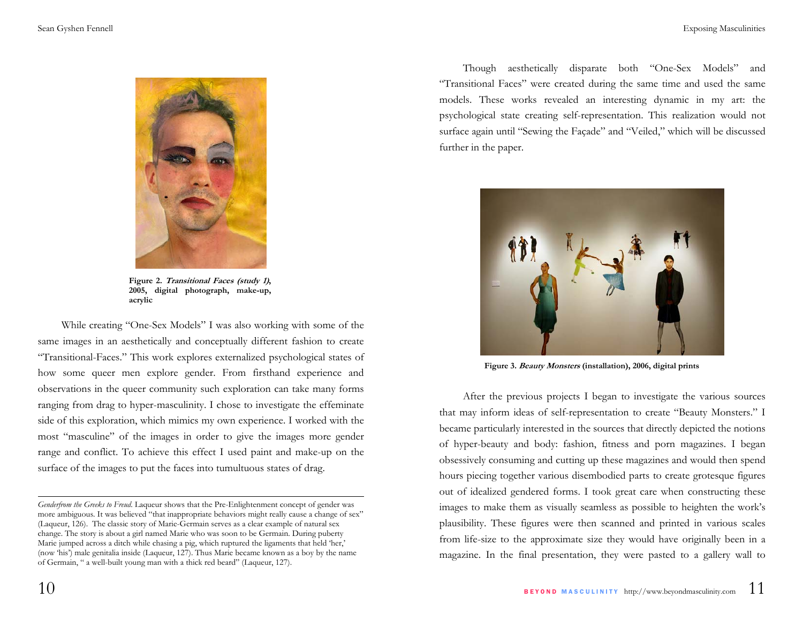

**Figure 2. Transitional Faces (study 1), 2005, digital photograph, make-up, acrylic** 

While creating "One-Sex Models" I was also working with some of the same images in an aesthetically and conceptually different fashion to create "Transitional-Faces." This work explores externalized psychological states of how some queer men explore gender. From firsthand experience and observations in the queer community such exploration can take many forms ranging from drag to hyper-masculinity. I chose to investigate the effeminate side of this exploration, which mimics my own experience. I worked with the most "masculine" of the images in order to give the images more gender range and conflict. To achieve this effect I used paint and make-up on the surface of the images to put the faces into tumultuous states of drag.

Though aesthetically disparate both "One-Sex Models" and "Transitional Faces" were created during the same time and used the same models. These works revealed an interesting dynamic in my art: the psychological state creating self-representation. This realization would not surface again until "Sewing the Façade" and "Veiled," which will be discussed further in the paper.



**Figure 3. Beauty Monsters (installation), 2006, digital prints** 

After the previous projects I began to investigate the various sources that may inform ideas of self-representation to create "Beauty Monsters." I became particularly interested in the sources that directly depicted the notions of hyper-beauty and body: fashion, fitness and porn magazines. I began obsessively consuming and cutting up these magazines and would then spend hours piecing together various disembodied parts to create grotesque figures out of idealized gendered forms. I took great care when constructing these images to make them as visually seamless as possible to heighten the work's plausibility. These figures were then scanned and printed in various scales from life-size to the approximate size they would have originally been in a magazine. In the final presentation, they were pasted to a gallery wall to

*Genderfrom the Greeks to Freud*. Laqueur shows that the Pre-Enlightenment concept of gender was more ambiguous. It was believed "that inappropriate behaviors might really cause a change of sex" (Laqueur, 126). The classic story of Marie-Germain serves as a clear example of natural sex change. The story is about a girl named Marie who was soon to be Germain. During puberty Marie jumped across a ditch while chasing a pig, which ruptured the ligaments that held 'her,' (now 'his') male genitalia inside (Laqueur, 127). Thus Marie became known as a boy by the name of Germain, " a well-built young man with a thick red beard" (Laqueur, 127).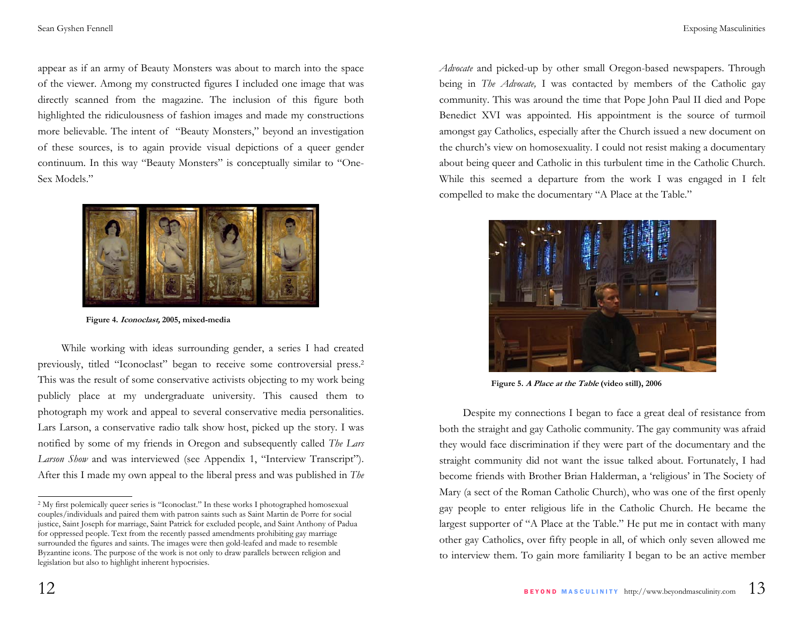appear as if an army of Beauty Monsters was about to march into the space of the viewer. Among my constructed figures I included one image that was directly scanned from the magazine. The inclusion of this figure both highlighted the ridiculousness of fashion images and made my constructions more believable. The intent of "Beauty Monsters," beyond an investigation of these sources, is to again provide visual depictions of a queer gender continuum. In this way "Beauty Monsters" is conceptually similar to "One-Sex Models."



**Figure 4. Iconoclast, 2005, mixed-media** 

While working with ideas surrounding gender, a series I had created previously, titled "Iconoclast" began to receive some controversial press.2 This was the result of some conservative activists objecting to my work being publicly place at my undergraduate university. This caused them to photograph my work and appeal to several conservative media personalities. Lars Larson, a conservative radio talk show host, picked up the story. I was notified by some of my friends in Oregon and subsequently called *The Lars Larson Show* and was interviewed (see Appendix 1, "Interview Transcript"). After this I made my own appeal to the liberal press and was published in *The*  *Advocate* and picked-up by other small Oregon-based newspapers. Through being in *The Advocate,* I was contacted by members of the Catholic gay community. This was around the time that Pope John Paul II died and Pope Benedict XVI was appointed. His appointment is the source of turmoil amongst gay Catholics, especially after the Church issued a new document on the church's view on homosexuality. I could not resist making a documentary about being queer and Catholic in this turbulent time in the Catholic Church. While this seemed a departure from the work I was engaged in I felt compelled to make the documentary "A Place at the Table."



**Figure 5. A Place at the Table (video still), 2006**

Despite my connections I began to face a great deal of resistance from both the straight and gay Catholic community. The gay community was afraid they would face discrimination if they were part of the documentary and the straight community did not want the issue talked about. Fortunately, I had become friends with Brother Brian Halderman, a 'religious' in The Society of Mary (a sect of the Roman Catholic Church), who was one of the first openly gay people to enter religious life in the Catholic Church. He became the largest supporter of "A Place at the Table." He put me in contact with many other gay Catholics, over fifty people in all, of which only seven allowed me to interview them. To gain more familiarity I began to be an active member

<sup>2</sup> My first polemically queer series is "Iconoclast." In these works I photographed homosexual couples/individuals and paired them with patron saints such as Saint Martin de Porre for social justice, Saint Joseph for marriage, Saint Patrick for excluded people, and Saint Anthony of Padua for oppressed people. Text from the recently passed amendments prohibiting gay marriage surrounded the figures and saints. The images were then gold-leafed and made to resemble Byzantine icons. The purpose of the work is not only to draw parallels between religion and legislation but also to highlight inherent hypocrisies.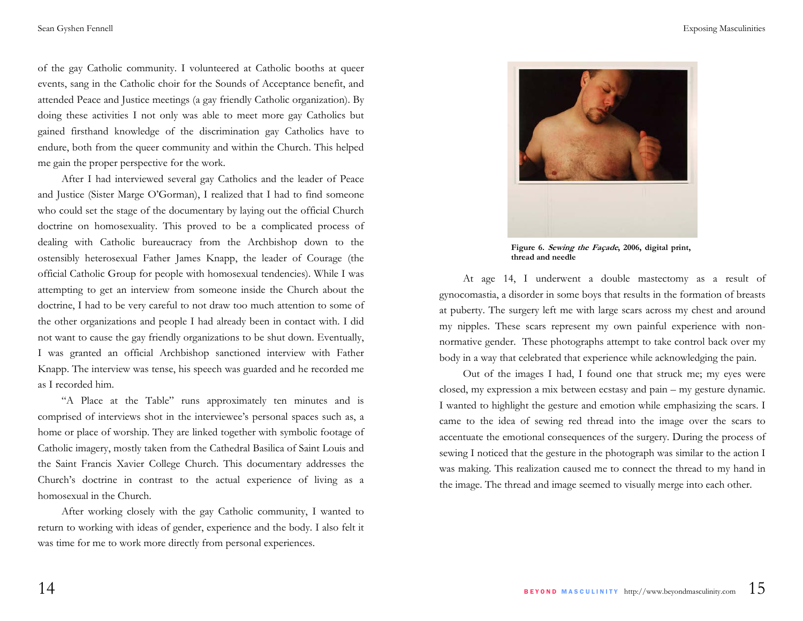of the gay Catholic community. I volunteered at Catholic booths at queer events, sang in the Catholic choir for the Sounds of Acceptance benefit, and attended Peace and Justice meetings (a gay friendly Catholic organization). By doing these activities I not only was able to meet more gay Catholics but gained firsthand knowledge of the discrimination gay Catholics have to endure, both from the queer community and within the Church. This helped me gain the proper perspective for the work.

After I had interviewed several gay Catholics and the leader of Peace and Justice (Sister Marge O'Gorman), I realized that I had to find someone who could set the stage of the documentary by laying out the official Church doctrine on homosexuality. This proved to be a complicated process of dealing with Catholic bureaucracy from the Archbishop down to the ostensibly heterosexual Father James Knapp, the leader of Courage (the official Catholic Group for people with homosexual tendencies). While I was attempting to get an interview from someone inside the Church about the doctrine, I had to be very careful to not draw too much attention to some of the other organizations and people I had already been in contact with. I did not want to cause the gay friendly organizations to be shut down. Eventually, I was granted an official Archbishop sanctioned interview with Father Knapp. The interview was tense, his speech was guarded and he recorded me as I recorded him.

"A Place at the Table" runs approximately ten minutes and is comprised of interviews shot in the interviewee's personal spaces such as, a home or place of worship. They are linked together with symbolic footage of Catholic imagery, mostly taken from the Cathedral Basilica of Saint Louis and the Saint Francis Xavier College Church. This documentary addresses the Church's doctrine in contrast to the actual experience of living as a homosexual in the Church.

After working closely with the gay Catholic community, I wanted to return to working with ideas of gender, experience and the body. I also felt it was time for me to work more directly from personal experiences.



**Figure 6. Sewing the Façade, 2006, digital print, thread and needle** 

At age 14, I underwent a double mastectomy as a result of gynocomastia, a disorder in some boys that results in the formation of breasts at puberty. The surgery left me with large scars across my chest and around my nipples. These scars represent my own painful experience with nonnormative gender. These photographs attempt to take control back over my body in a way that celebrated that experience while acknowledging the pain.

Out of the images I had, I found one that struck me; my eyes were closed, my expression a mix between ecstasy and pain – my gesture dynamic. I wanted to highlight the gesture and emotion while emphasizing the scars. I came to the idea of sewing red thread into the image over the scars to accentuate the emotional consequences of the surgery. During the process of sewing I noticed that the gesture in the photograph was similar to the action I was making. This realization caused me to connect the thread to my hand in the image. The thread and image seemed to visually merge into each other.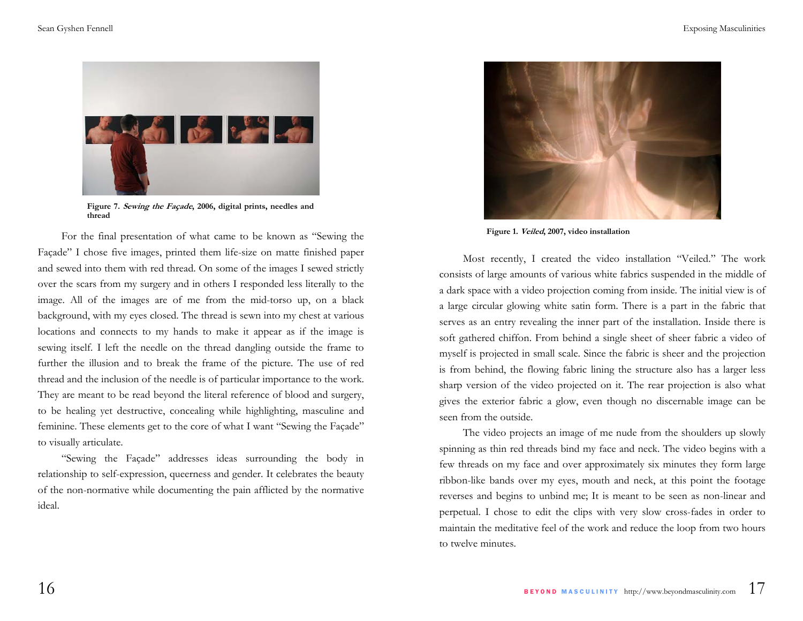

**Figure 7. Sewing the Façade, 2006, digital prints, needles and thread** 

For the final presentation of what came to be known as "Sewing the Façade" I chose five images, printed them life-size on matte finished paper and sewed into them with red thread. On some of the images I sewed strictly over the scars from my surgery and in others I responded less literally to the image. All of the images are of me from the mid-torso up, on a black background, with my eyes closed. The thread is sewn into my chest at various locations and connects to my hands to make it appear as if the image is sewing itself. I left the needle on the thread dangling outside the frame to further the illusion and to break the frame of the picture. The use of red thread and the inclusion of the needle is of particular importance to the work. They are meant to be read beyond the literal reference of blood and surgery, to be healing yet destructive, concealing while highlighting, masculine and feminine. These elements get to the core of what I want "Sewing the Façade" to visually articulate.

"Sewing the Façade" addresses ideas surrounding the body in relationship to self-expression, queerness and gender. It celebrates the beauty of the non-normative while documenting the pain afflicted by the normative ideal.



**Figure 1. Veiled, 2007, video installation** 

Most recently, I created the video installation "Veiled." The work consists of large amounts of various white fabrics suspended in the middle of a dark space with a video projection coming from inside. The initial view is of a large circular glowing white satin form. There is a part in the fabric that serves as an entry revealing the inner part of the installation. Inside there is soft gathered chiffon. From behind a single sheet of sheer fabric a video of myself is projected in small scale. Since the fabric is sheer and the projection is from behind, the flowing fabric lining the structure also has a larger less sharp version of the video projected on it. The rear projection is also what gives the exterior fabric a glow, even though no discernable image can be seen from the outside.

The video projects an image of me nude from the shoulders up slowly spinning as thin red threads bind my face and neck. The video begins with a few threads on my face and over approximately six minutes they form large ribbon-like bands over my eyes, mouth and neck, at this point the footage reverses and begins to unbind me; It is meant to be seen as non-linear and perpetual. I chose to edit the clips with very slow cross-fades in order to maintain the meditative feel of the work and reduce the loop from two hours to twelve minutes.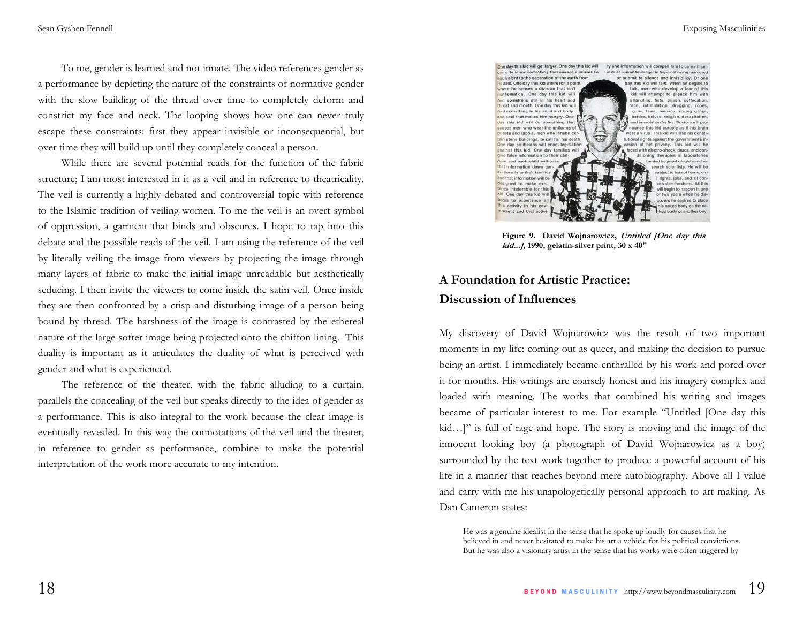To me, gender is learned and not innate. The video references gender as a performance by depicting the nature of the constraints of normative gender with the slow building of the thread over time to completely deform and constrict my face and neck. The looping shows how one can never truly escape these constraints: first they appear invisible or inconsequential, but over time they will build up until they completely conceal a person.

While there are several potential reads for the function of the fabric structure; I am most interested in it as a veil and in reference to theatricality. The veil is currently a highly debated and controversial topic with reference to the Islamic tradition of veiling women. To me the veil is an overt symbol of oppression, a garment that binds and obscures. I hope to tap into this debate and the possible reads of the veil. I am using the reference of the veil by literally veiling the image from viewers by projecting the image through many layers of fabric to make the initial image unreadable but aesthetically seducing. I then invite the viewers to come inside the satin veil. Once inside they are then confronted by a crisp and disturbing image of a person being bound by thread. The harshness of the image is contrasted by the ethereal nature of the large softer image being projected onto the chiffon lining. This duality is important as it articulates the duality of what is perceived with gender and what is experienced.

The reference of the theater, with the fabric alluding to a curtain, parallels the concealing of the veil but speaks directly to the idea of gender as a performance. This is also integral to the work because the clear image is eventually revealed. In this way the connotations of the veil and the theater, in reference to gender as performance, combine to make the potential interpretation of the work more accurate to my intention.



**Figure 9. David Wojnarowicz, Untitled [One day this kid...], 1990, gelatin-silver print, 30 x 40"** 

## **A Foundation for Artistic Practice: Discussion of Influences**

My discovery of David Wojnarowicz was the result of two important moments in my life: coming out as queer, and making the decision to pursue being an artist. I immediately became enthralled by his work and pored over it for months. His writings are coarsely honest and his imagery complex and loaded with meaning. The works that combined his writing and images became of particular interest to me. For example "Untitled [One day this kid…]" is full of rage and hope. The story is moving and the image of the innocent looking boy (a photograph of David Wojnarowicz as a boy) surrounded by the text work together to produce a powerful account of his life in a manner that reaches beyond mere autobiography. Above all I value and carry with me his unapologetically personal approach to art making. As Dan Cameron states:

He was a genuine idealist in the sense that he spoke up loudly for causes that he believed in and never hesitated to make his art a vehicle for his political convictions. But he was also a visionary artist in the sense that his works were often triggered by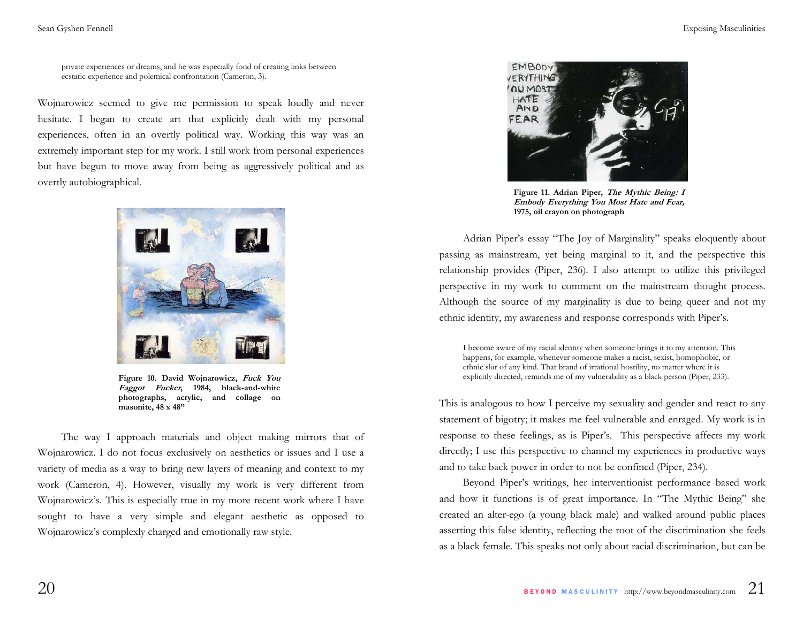private experiences or dreams, and he was especially fond of creating links between ecstatic experience and polemical confrontation (Cameron, 3).

Wojnarowicz seemed to give me permission to speak loudly and never hesitate. I began to create art that explicitly dealt with my personal experiences, often in an overtly political way. Working this way was an extremely important step for my work. I still work from personal experiences but have begun to move away from being as aggressively political and as overtly autobiographical.



**Figure 10. David Wojnarowicz, Fuck You Faggot Fucker, 1984, black-and-white photographs, acrylic, and collage on masonite, 48 x 48"** 

 The way I approach materials and object making mirrors that of Wojnarowicz. I do not focus exclusively on aesthetics or issues and I use a variety of media as a way to bring new layers of meaning and context to my work (Cameron, 4). However, visually my work is very different from Wojnarowicz's. This is especially true in my more recent work where I have sought to have a very simple and elegant aesthetic as opposed to Wojnarowicz's complexly charged and emotionally raw style.



**Figure 11. Adrian Piper, The Mythic Being: I Embody Everything You Most Hate and Fear, 1975, oil crayon on photograph**

 Adrian Piper's essay "The Joy of Marginality" speaks eloquently about passing as mainstream, yet being marginal to it, and the perspective this relationship provides (Piper, 236). I also attempt to utilize this privileged perspective in my work to comment on the mainstream thought process. Although the source of my marginality is due to being queer and not my ethnic identity, my awareness and response corresponds with Piper's.

I become aware of my racial identity when someone brings it to my attention. This happens, for example, whenever someone makes a racist, sexist, homophobic, or ethnic slur of any kind. That brand of irrational hostility, no matter where it is explicitly directed, reminds me of my vulnerability as a black person (Piper, 233).

This is analogous to how I perceive my sexuality and gender and react to any statement of bigotry; it makes me feel vulnerable and enraged. My work is in response to these feelings, as is Piper's. This perspective affects my work directly; I use this perspective to channel my experiences in productive ways and to take back power in order to not be confined (Piper, 234).

 Beyond Piper's writings, her interventionist performance based work and how it functions is of great importance. In "The Mythic Being" she created an alter-ego (a young black male) and walked around public places asserting this false identity, reflecting the root of the discrimination she feels as a black female. This speaks not only about racial discrimination, but can be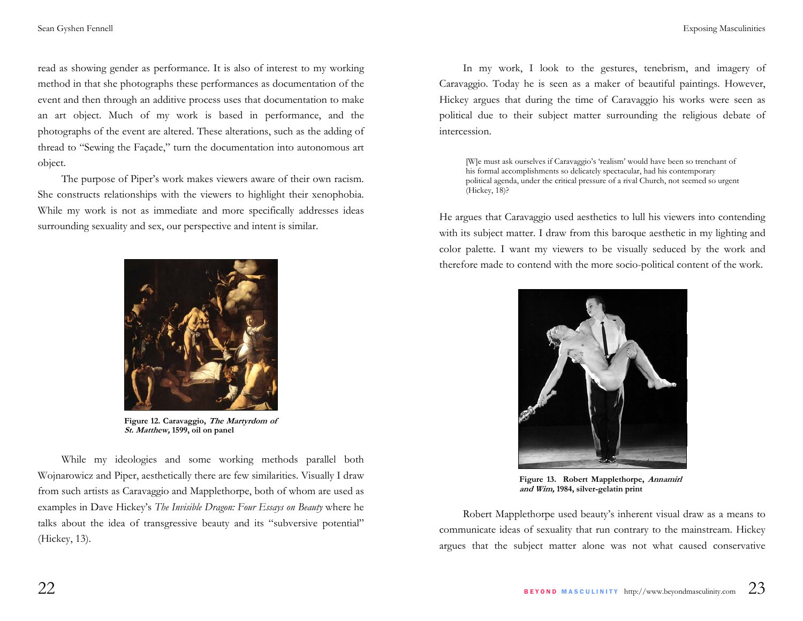read as showing gender as performance. It is also of interest to my working method in that she photographs these performances as documentation of the event and then through an additive process uses that documentation to make an art object. Much of my work is based in performance, and the photographs of the event are altered. These alterations, such as the adding of thread to "Sewing the Façade," turn the documentation into autonomous art object.

 The purpose of Piper's work makes viewers aware of their own racism. She constructs relationships with the viewers to highlight their xenophobia. While my work is not as immediate and more specifically addresses ideas surrounding sexuality and sex, our perspective and intent is similar.



**Figure 12. Caravaggio, The Martyrdom of St. Matthew, 1599, oil on panel** 

 While my ideologies and some working methods parallel both Wojnarowicz and Piper, aesthetically there are few similarities. Visually I draw from such artists as Caravaggio and Mapplethorpe, both of whom are used as examples in Dave Hickey's *The Invisible Dragon: Four Essays on Beauty* where he talks about the idea of transgressive beauty and its "subversive potential" (Hickey, 13).

 In my work, I look to the gestures, tenebrism, and imagery of Caravaggio. Today he is seen as a maker of beautiful paintings. However, Hickey argues that during the time of Caravaggio his works were seen as political due to their subject matter surrounding the religious debate of intercession.

[W]e must ask ourselves if Caravaggio's 'realism' would have been so trenchant of his formal accomplishments so delicately spectacular, had his contemporary political agenda, under the critical pressure of a rival Church, not seemed so urgent (Hickey, 18)?

He argues that Caravaggio used aesthetics to lull his viewers into contending with its subject matter. I draw from this baroque aesthetic in my lighting and color palette. I want my viewers to be visually seduced by the work and therefore made to contend with the more socio-political content of the work.



**Figure 13. Robert Mapplethorpe, Annamirl and Wim, 1984, silver-gelatin print** 

 Robert Mapplethorpe used beauty's inherent visual draw as a means to communicate ideas of sexuality that run contrary to the mainstream. Hickey argues that the subject matter alone was not what caused conservative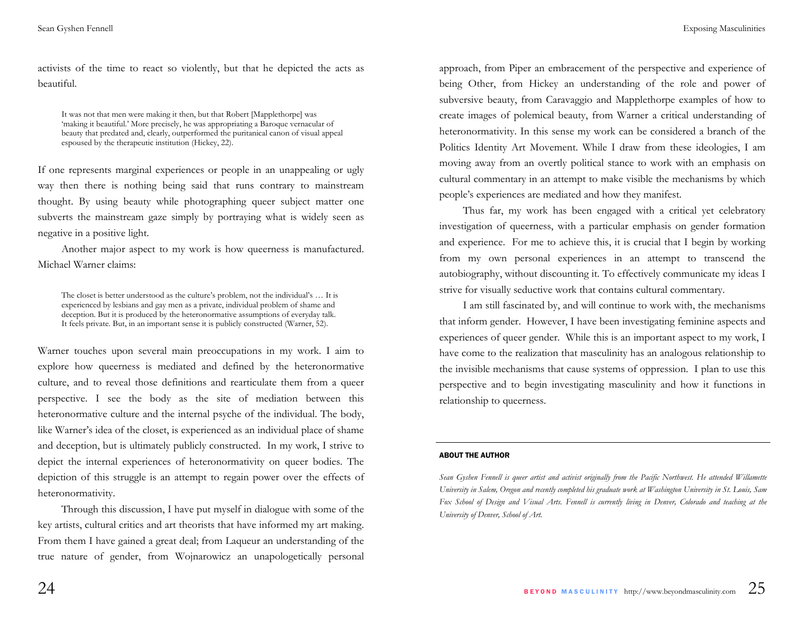activists of the time to react so violently, but that he depicted the acts as beautiful.

It was not that men were making it then, but that Robert [Mapplethorpe] was 'making it beautiful.' More precisely, he was appropriating a Baroque vernacular of beauty that predated and, clearly, outperformed the puritanical canon of visual appeal espoused by the therapeutic institution (Hickey, 22).

If one represents marginal experiences or people in an unappealing or ugly way then there is nothing being said that runs contrary to mainstream thought. By using beauty while photographing queer subject matter one subverts the mainstream gaze simply by portraying what is widely seen as negative in a positive light.

Another major aspect to my work is how queerness is manufactured. Michael Warner claims:

The closet is better understood as the culture's problem, not the individual's … It is experienced by lesbians and gay men as a private, individual problem of shame and deception. But it is produced by the heteronormative assumptions of everyday talk. It feels private. But, in an important sense it is publicly constructed (Warner, 52).

Warner touches upon several main preoccupations in my work. I aim to explore how queerness is mediated and defined by the heteronormative culture, and to reveal those definitions and rearticulate them from a queer perspective. I see the body as the site of mediation between this heteronormative culture and the internal psyche of the individual. The body, like Warner's idea of the closet, is experienced as an individual place of shame and deception, but is ultimately publicly constructed. In my work, I strive to depict the internal experiences of heteronormativity on queer bodies. The depiction of this struggle is an attempt to regain power over the effects of heteronormativity.

Through this discussion, I have put myself in dialogue with some of the key artists, cultural critics and art theorists that have informed my art making. From them I have gained a great deal; from Laqueur an understanding of the true nature of gender, from Wojnarowicz an unapologetically personal approach, from Piper an embracement of the perspective and experience of being Other, from Hickey an understanding of the role and power of subversive beauty, from Caravaggio and Mapplethorpe examples of how to create images of polemical beauty, from Warner a critical understanding of heteronormativity. In this sense my work can be considered a branch of the Politics Identity Art Movement. While I draw from these ideologies, I am moving away from an overtly political stance to work with an emphasis on cultural commentary in an attempt to make visible the mechanisms by which people's experiences are mediated and how they manifest.

Thus far, my work has been engaged with a critical yet celebratory investigation of queerness, with a particular emphasis on gender formation and experience. For me to achieve this, it is crucial that I begin by working from my own personal experiences in an attempt to transcend the autobiography, without discounting it. To effectively communicate my ideas I strive for visually seductive work that contains cultural commentary.

I am still fascinated by, and will continue to work with, the mechanisms that inform gender. However, I have been investigating feminine aspects and experiences of queer gender. While this is an important aspect to my work, I have come to the realization that masculinity has an analogous relationship to the invisible mechanisms that cause systems of oppression. I plan to use this perspective and to begin investigating masculinity and how it functions in relationship to queerness.

#### ABOUT THE AUTHOR

Sean Gyshen Fennell is queer artist and activist originally from the Pacific Northwest. He attended Willamette *University in Salem, Oregon and recently completed his graduate work at Washington University in St. Louis, Sam Fox School of Design and Visual Arts. Fennell is currently living in Denver, Colorado and teaching at the University of Denver, School of Art.*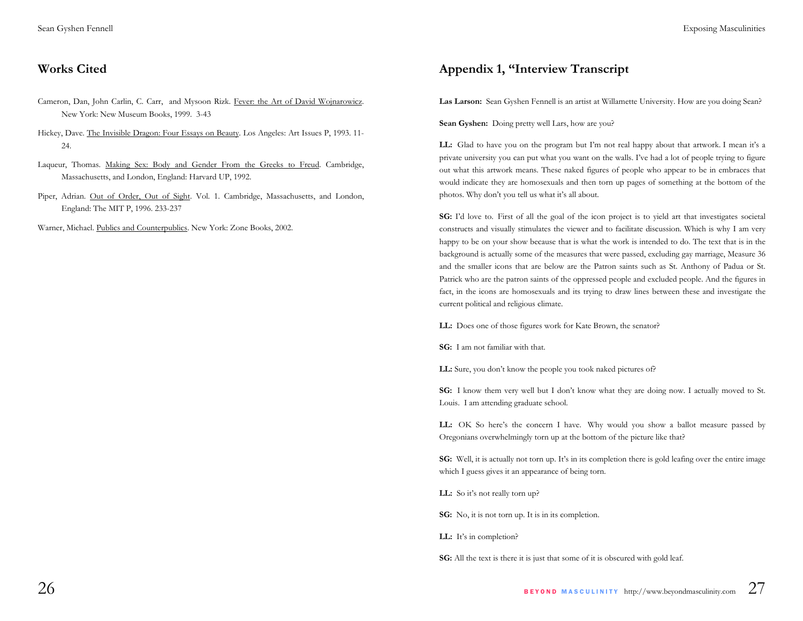### **Works Cited**

- Cameron, Dan, John Carlin, C. Carr, and Mysoon Rizk. Fever: the Art of David Wojnarowicz. New York: New Museum Books, 1999. 3-43
- Hickey, Dave. The Invisible Dragon: Four Essays on Beauty. Los Angeles: Art Issues P, 1993. 11- 24.
- Laqueur, Thomas. Making Sex: Body and Gender From the Greeks to Freud. Cambridge, Massachusetts, and London, England: Harvard UP, 1992.
- Piper, Adrian. Out of Order, Out of Sight. Vol. 1. Cambridge, Massachusetts, and London, England: The MIT P, 1996. 233-237

Warner, Michael. Publics and Counterpublics. New York: Zone Books, 2002.

## **Appendix 1, "Interview Transcript**

**Las Larson:** Sean Gyshen Fennell is an artist at Willamette University. How are you doing Sean?

**Sean Gyshen:** Doing pretty well Lars, how are you?

LL: Glad to have you on the program but I'm not real happy about that artwork. I mean it's a private university you can put what you want on the walls. I've had a lot of people trying to figure out what this artwork means. These naked figures of people who appear to be in embraces that would indicate they are homosexuals and then torn up pages of something at the bottom of the photos. Why don't you tell us what it's all about.

**SG:** I'd love to. First of all the goal of the icon project is to yield art that investigates societal constructs and visually stimulates the viewer and to facilitate discussion. Which is why I am very happy to be on your show because that is what the work is intended to do. The text that is in the background is actually some of the measures that were passed, excluding gay marriage, Measure 36 and the smaller icons that are below are the Patron saints such as St. Anthony of Padua or St. Patrick who are the patron saints of the oppressed people and excluded people. And the figures in fact, in the icons are homosexuals and its trying to draw lines between these and investigate the current political and religious climate.

**LL:** Does one of those figures work for Kate Brown, the senator?

**SG:** I am not familiar with that.

**LL:** Sure, you don't know the people you took naked pictures of?

**SG:** I know them very well but I don't know what they are doing now. I actually moved to St. Louis. I am attending graduate school.

LL: OK So here's the concern I have. Why would you show a ballot measure passed by Oregonians overwhelmingly torn up at the bottom of the picture like that?

**SG:** Well, it is actually not torn up. It's in its completion there is gold leafing over the entire image which I guess gives it an appearance of being torn.

LL: So it's not really torn up?

**SG:** No, it is not torn up. It is in its completion.

**LL:** It's in completion?

**SG:** All the text is there it is just that some of it is obscured with gold leaf.